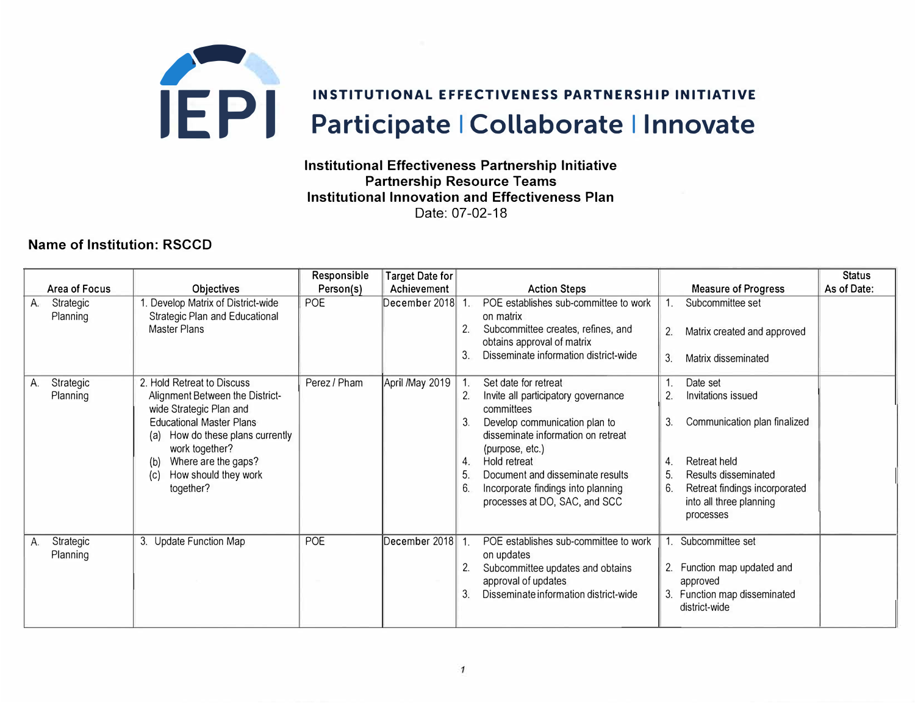

## **Institutional Effectiveness Partnership Initiative Partnership Resource Teams Institutional Innovation and Effectiveness Plan**  Date: 07-02-18

## **Name of Institution: RSCCD**

|                             |                                                                                                                                                                                                                                                                | Responsible  | <b>Target Date for</b> |                                        |                                                                                                                                                                                                                                                                                                |                      |                                                                                                                                                                                        | <b>Status</b> |
|-----------------------------|----------------------------------------------------------------------------------------------------------------------------------------------------------------------------------------------------------------------------------------------------------------|--------------|------------------------|----------------------------------------|------------------------------------------------------------------------------------------------------------------------------------------------------------------------------------------------------------------------------------------------------------------------------------------------|----------------------|----------------------------------------------------------------------------------------------------------------------------------------------------------------------------------------|---------------|
| Area of Focus               | <b>Objectives</b>                                                                                                                                                                                                                                              | Person(s)    | Achievement            |                                        | <b>Action Steps</b>                                                                                                                                                                                                                                                                            |                      | <b>Measure of Progress</b>                                                                                                                                                             | As of Date:   |
| Strategic<br>А.<br>Planning | Develop Matrix of District-wide<br><b>Strategic Plan and Educational</b><br>Master Plans                                                                                                                                                                       | <b>POE</b>   | December 2018          | 3.                                     | POE establishes sub-committee to work<br>on matrix<br>Subcommittee creates, refines, and<br>obtains approval of matrix<br>Disseminate information district-wide                                                                                                                                | 2.<br>3.             | Subcommittee set<br>Matrix created and approved<br>Matrix disseminated                                                                                                                 |               |
| Strategic<br>А.<br>Planning | 2. Hold Retreat to Discuss<br>Alignment Between the District-<br>wide Strategic Plan and<br><b>Educational Master Plans</b><br>How do these plans currently<br>(a)<br>work together?<br>Where are the gaps?<br>(b)<br>How should they work<br>(c)<br>together? | Perez / Pham | April /May 2019        | 2.<br>3 <sub>1</sub><br>4.<br>5.<br>6. | Set date for retreat<br>Invite all participatory governance<br>committees<br>Develop communication plan to<br>disseminate information on retreat<br>(purpose, etc.)<br>Hold retreat<br>Document and disseminate results<br>Incorporate findings into planning<br>processes at DO, SAC, and SCC | 3.<br>4.<br>5.<br>6. | Date set<br>Invitations issued<br>Communication plan finalized<br><b>Retreat held</b><br>Results disseminated<br>Retreat findings incorporated<br>into all three planning<br>processes |               |
| Strategic<br>А.<br>Planning | 3. Update Function Map                                                                                                                                                                                                                                         | POE          | December 2018 1.       | 2.<br>3.                               | POE establishes sub-committee to work<br>on updates<br>Subcommittee updates and obtains<br>approval of updates<br>Disseminate information district-wide                                                                                                                                        | 2.                   | Subcommittee set<br>Function map updated and<br>approved<br>3. Function map disseminated<br>district-wide                                                                              |               |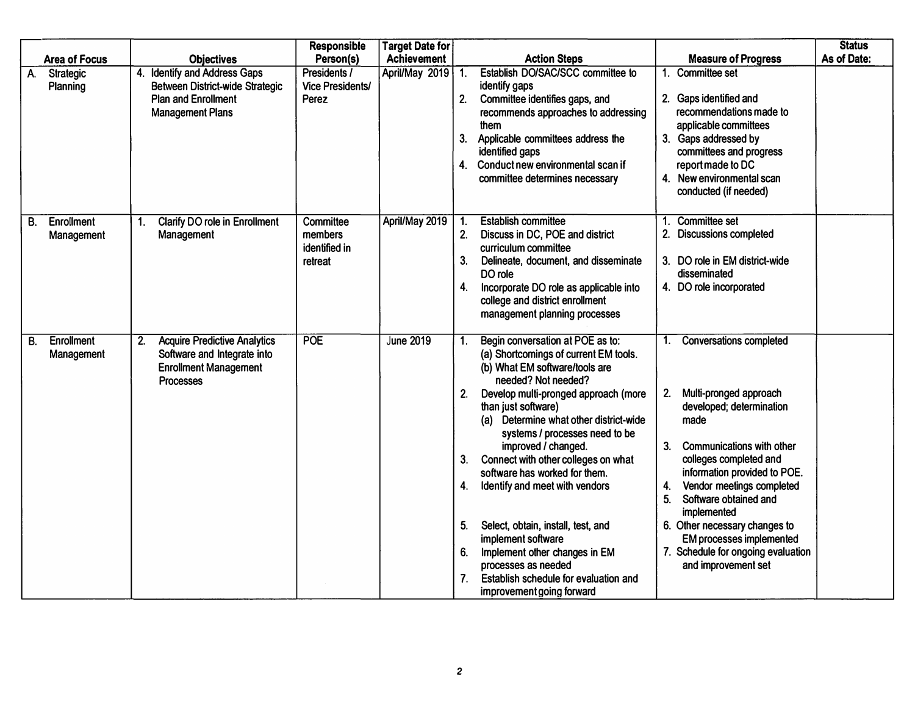| <b>Area of Focus</b>                  | <b>Objectives</b>                                                                                                                         | <b>Responsible</b><br>Person(s)                         | <b>Target Date for</b><br><b>Achievement</b> | <b>Action Steps</b><br><b>Measure of Progress</b>                                                                                                                                                                                                                                                                                                                                                                                                                                                                                                                                                                                                                                                                                                                                                                                                                                                                                                                                                                                                                                                | <b>Status</b><br>As of Date: |
|---------------------------------------|-------------------------------------------------------------------------------------------------------------------------------------------|---------------------------------------------------------|----------------------------------------------|--------------------------------------------------------------------------------------------------------------------------------------------------------------------------------------------------------------------------------------------------------------------------------------------------------------------------------------------------------------------------------------------------------------------------------------------------------------------------------------------------------------------------------------------------------------------------------------------------------------------------------------------------------------------------------------------------------------------------------------------------------------------------------------------------------------------------------------------------------------------------------------------------------------------------------------------------------------------------------------------------------------------------------------------------------------------------------------------------|------------------------------|
| <b>Strategic</b><br>A.<br>Planning    | <b>Identify and Address Gaps</b><br>4.<br><b>Between District-wide Strategic</b><br><b>Plan and Enrollment</b><br><b>Management Plans</b> | Presidents /<br><b>Vice Presidents/</b><br>Perez        | April/May 2019 1.                            | Establish DO/SAC/SCC committee to<br><b>Committee set</b><br>identify gaps<br>2. Committee identifies gaps, and<br>2. Gaps identified and<br>recommends approaches to addressing<br>recommendations made to<br>applicable committees<br>them<br>3. Applicable committees address the<br>3. Gaps addressed by<br>committees and progress<br>identified gaps<br>4. Conduct new environmental scan if<br>reportmade to DC<br>4. New environmental scan<br>committee determines necessary<br>conducted (if needed)                                                                                                                                                                                                                                                                                                                                                                                                                                                                                                                                                                                   |                              |
| <b>Enrollment</b><br>В.<br>Management | <b>Clarify DO role in Enrollment</b><br>1.<br>Management                                                                                  | <b>Committee</b><br>members<br>identified in<br>retreat | April/May 2019                               | Committee set<br><b>Establish committee</b><br>1.<br>1.<br>Discuss in DC, POE and district<br>2.<br><b>Discussions completed</b><br>2.<br>curriculum committee<br>3. DO role in EM district-wide<br>3.<br>Delineate, document, and disseminate<br>DO role<br>disseminated<br>Incorporate DO role as applicable into<br>4.<br>4. DO role incorporated<br>college and district enrollment<br>management planning processes                                                                                                                                                                                                                                                                                                                                                                                                                                                                                                                                                                                                                                                                         |                              |
| <b>Enrollment</b><br>В.<br>Management | <b>Acquire Predictive Analytics</b><br>2.<br>Software and Integrate into<br><b>Enrollment Management</b><br><b>Processes</b>              | <b>POE</b>                                              | <b>June 2019</b>                             | Begin conversation at POE as to:<br><b>Conversations completed</b><br>1.<br>1.<br>(a) Shortcomings of current EM tools.<br>(b) What EM software/tools are<br>needed? Not needed?<br>Multi-pronged approach<br>Develop multi-pronged approach (more<br>2.<br>2.<br>developed; determination<br>than just software)<br>(a) Determine what other district-wide<br>made<br>systems / processes need to be<br><b>Communications with other</b><br>improved / changed.<br>3.<br>Connect with other colleges on what<br>colleges completed and<br>3.<br>software has worked for them.<br>information provided to POE.<br>Vendor meetings completed<br>Identify and meet with vendors<br>4.<br>4.<br>5.<br>Software obtained and<br>implemented<br>Select, obtain, install, test, and<br>6. Other necessary changes to<br>5.<br>implement software<br><b>EM processes implemented</b><br>Implement other changes in EM<br>7. Schedule for ongoing evaluation<br>6.<br>processes as needed<br>and improvement set<br>7 <sub>1</sub><br>Establish schedule for evaluation and<br>improvement going forward |                              |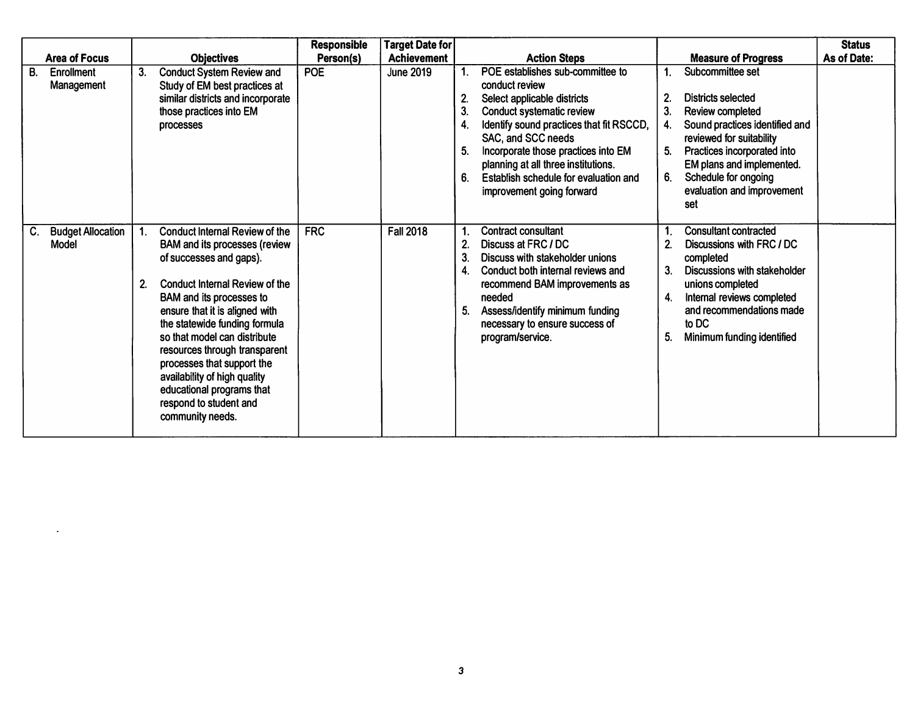|    | <b>Area of Focus</b>                    |                    | <b>Objectives</b>                                                                                                                                                                                                                                                                                                                                                                                                                                          | <b>Responsible</b><br>Person(s) | <b>Target Date for</b><br><b>Achievement</b> |                            | <b>Action Steps</b>                                                                                                                                                                                                                                                                                                                         |                                        | <b>Measure of Progress</b>                                                                                                                                                                                                                               | <b>Status</b><br>As of Date: |
|----|-----------------------------------------|--------------------|------------------------------------------------------------------------------------------------------------------------------------------------------------------------------------------------------------------------------------------------------------------------------------------------------------------------------------------------------------------------------------------------------------------------------------------------------------|---------------------------------|----------------------------------------------|----------------------------|---------------------------------------------------------------------------------------------------------------------------------------------------------------------------------------------------------------------------------------------------------------------------------------------------------------------------------------------|----------------------------------------|----------------------------------------------------------------------------------------------------------------------------------------------------------------------------------------------------------------------------------------------------------|------------------------------|
| В. | Enrollment<br>Management                | 3.                 | <b>Conduct System Review and</b><br>Study of EM best practices at<br>similar districts and incorporate<br>those practices into EM<br>processes                                                                                                                                                                                                                                                                                                             | <b>POE</b>                      | <b>June 2019</b>                             | 2.<br>3.<br>4.<br>5.<br>6. | POE establishes sub-committee to<br>conduct review<br>Select applicable districts<br><b>Conduct systematic review</b><br>Identify sound practices that fit RSCCD,<br>SAC, and SCC needs<br>Incorporate those practices into EM<br>planning at all three institutions.<br>Establish schedule for evaluation and<br>improvement going forward | 2 <sub>1</sub><br>3.<br>4.<br>5.<br>6. | Subcommittee set<br><b>Districts selected</b><br>Review completed<br>Sound practices identified and<br>reviewed for suitability<br>Practices incorporated into<br>EM plans and implemented.<br>Schedule for ongoing<br>evaluation and improvement<br>set |                              |
|    | <b>Budget Allocation</b><br>C.<br>Model | $\mathbf{1}$<br>2. | <b>Conduct Internal Review of the</b><br><b>BAM and its processes (review</b><br>of successes and gaps).<br><b>Conduct Internal Review of the</b><br>BAM and its processes to<br>ensure that it is aligned with<br>the statewide funding formula<br>so that model can distribute<br>resources through transparent<br>processes that support the<br>availability of high quality<br>educational programs that<br>respond to student and<br>community needs. | <b>FRC</b>                      | <b>Fall 2018</b>                             | 3.<br>4.<br>5.             | <b>Contract consultant</b><br>Discuss at FRC / DC<br>Discuss with stakeholder unions<br>Conduct both internal reviews and<br>recommend BAM improvements as<br>needed<br>Assess/identify minimum funding<br>necessary to ensure success of<br>program/service.                                                                               | 1.<br>3.<br>4.<br>5.                   | <b>Consultant contracted</b><br>Discussions with FRC / DC<br>completed<br><b>Discussions with stakeholder</b><br>unions completed<br>Internal reviews completed<br>and recommendations made<br>to DC<br>Minimum funding identified                       |                              |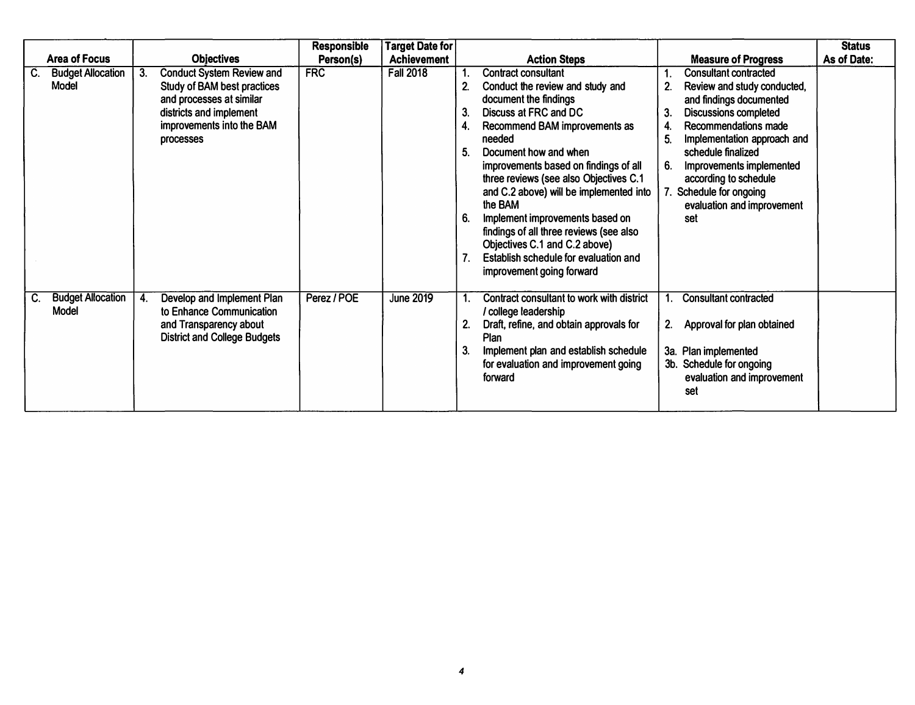|                                                |                                                                                                                                                                               | <b>Responsible</b> | <b>Target Date for</b> |                                                                                                                                                                                                                                                                                                                                                                                                                                                                                                                                                                                                                                                                                                                                                                                                                                                                           | <b>Status</b> |
|------------------------------------------------|-------------------------------------------------------------------------------------------------------------------------------------------------------------------------------|--------------------|------------------------|---------------------------------------------------------------------------------------------------------------------------------------------------------------------------------------------------------------------------------------------------------------------------------------------------------------------------------------------------------------------------------------------------------------------------------------------------------------------------------------------------------------------------------------------------------------------------------------------------------------------------------------------------------------------------------------------------------------------------------------------------------------------------------------------------------------------------------------------------------------------------|---------------|
| <b>Area of Focus</b>                           | <b>Objectives</b>                                                                                                                                                             | Person(s)          | <b>Achievement</b>     | <b>Action Steps</b><br><b>Measure of Progress</b>                                                                                                                                                                                                                                                                                                                                                                                                                                                                                                                                                                                                                                                                                                                                                                                                                         | As of Date:   |
| <b>Budget Allocation</b><br>C.<br>Model        | 3.<br><b>Conduct System Review and</b><br>Study of BAM best practices<br>and processes at similar<br>districts and implement<br>improvements into the BAM<br><b>processes</b> | <b>FRC</b>         | <b>Fall 2018</b>       | <b>Contract consultant</b><br><b>Consultant contracted</b><br>2.<br>Conduct the review and study and<br>Review and study conducted,<br>document the findings<br>and findings documented<br>Discuss at FRC and DC<br><b>Discussions completed</b><br>3.<br>Recommendations made<br>Recommend BAM improvements as<br>4.<br>Implementation approach and<br>needed<br>5.<br>schedule finalized<br>Document how and when<br>improvements based on findings of all<br>Improvements implemented<br>6.<br>three reviews (see also Objectives C.1<br>according to schedule<br>and C.2 above) will be implemented into<br>Schedule for ongoing<br>the BAM<br>evaluation and improvement<br>Implement improvements based on<br>set<br>findings of all three reviews (see also<br>Objectives C.1 and C.2 above)<br>Establish schedule for evaluation and<br>improvement going forward |               |
| <b>Budget Allocation</b><br>C.<br><b>Model</b> | Develop and Implement Plan<br>4.<br>to Enhance Communication<br>and Transparency about<br><b>District and College Budgets</b>                                                 | Perez / POE        | <b>June 2019</b>       | Contract consultant to work with district<br><b>Consultant contracted</b><br>/ college leadership<br>Draft, refine, and obtain approvals for<br>Approval for plan obtained<br>2.<br>Plan<br>3a. Plan implemented<br>Implement plan and establish schedule<br>3b. Schedule for ongoing<br>for evaluation and improvement going<br>evaluation and improvement<br>forward<br>set                                                                                                                                                                                                                                                                                                                                                                                                                                                                                             |               |